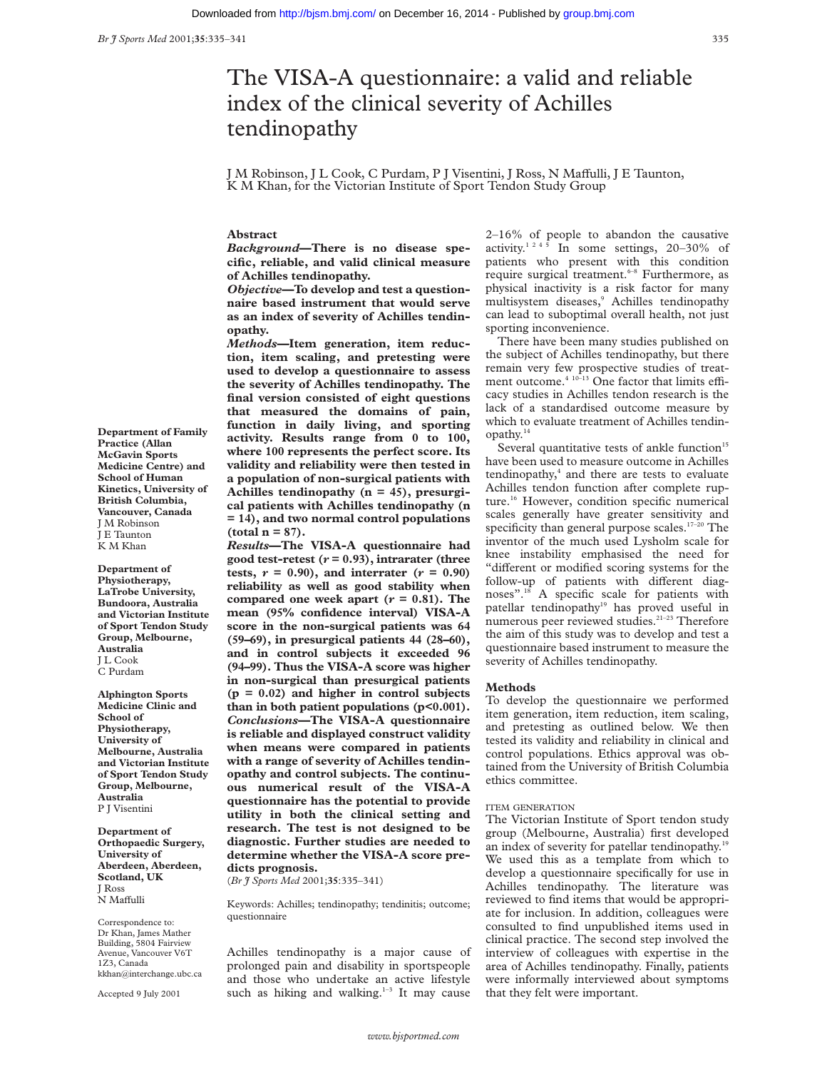# The VISA-A questionnaire: a valid and reliable index of the clinical severity of Achilles tendinopathy

J M Robinson, J L Cook, C Purdam, P J Visentini, J Ross, N Maffulli, J E Taunton, K M Khan, for the Victorian Institute of Sport Tendon Study Group

#### **Abstract**

*Background***—There is no disease specific, reliable, and valid clinical measure of Achilles tendinopathy.**

*Objective***—To develop and test a questionnaire based instrument that would serve as an index of severity of Achilles tendinopathy.**

*Methods***—Item generation, item reduction, item scaling, and pretesting were used to develop a questionnaire to assess the severity of Achilles tendinopathy. The final version consisted of eight questions that measured the domains of pain, function in daily living, and sporting activity. Results range from 0 to 100, where 100 represents the perfect score. Its validity and reliability were then tested in a population of non-surgical patients with Achilles tendinopathy (n = 45), presurgical patients with Achilles tendinopathy (n = 14), and two normal control populations (total n = 87).**

*Results***—The VISA-A questionnaire had good test-retest (***r* **= 0.93), intrarater (three** tests,  $r = 0.90$ , and interrater  $(r = 0.90)$ **reliability as well as good stability when** compared one week apart  $(r = 0.81)$ . The **mean (95% confidence interval) VISA-A score in the non-surgical patients was 64 (59–69), in presurgical patients 44 (28–60), and in control subjects it exceeded 96 (94–99). Thus the VISA-A score was higher in non-surgical than presurgical patients (p = 0.02) and higher in control subjects than in both patient populations (p<0.001).** *Conclusions***—The VISA-A questionnaire is reliable and displayed construct validity when means were compared in patients with a range of severity of Achilles tendinopathy and control subjects. The continuous numerical result of the VISA-A questionnaire has the potential to provide utility in both the clinical setting and research. The test is not designed to be diagnostic. Further studies are needed to determine whether the VISA-A score predicts prognosis.**

(*Br J Sports Med* 2001;**35**:335–341)

Keywords: Achilles; tendinopathy; tendinitis; outcome; questionnaire

Achilles tendinopathy is a major cause of prolonged pain and disability in sportspeople and those who undertake an active lifestyle such as hiking and walking. $1-3$  It may cause

2–16% of people to abandon the causative activity.<sup>1245</sup> In some settings, 20-30% of patients who present with this condition require surgical treatment.<sup>6-8</sup> Furthermore, as physical inactivity is a risk factor for many multisystem diseases,<sup>9</sup> Achilles tendinopathy can lead to suboptimal overall health, not just sporting inconvenience.

There have been many studies published on the subject of Achilles tendinopathy, but there remain very few prospective studies of treatment outcome. $4^{10-13}$  One factor that limits efficacy studies in Achilles tendon research is the lack of a standardised outcome measure by which to evaluate treatment of Achilles tendinopathy. $14$ 

Several quantitative tests of ankle function<sup>15</sup> have been used to measure outcome in Achilles tendinopathy, $4$  and there are tests to evaluate Achilles tendon function after complete rupture.16 However, condition specific numerical scales generally have greater sensitivity and specificity than general purpose scales. $17-20$  The inventor of the much used Lysholm scale for knee instability emphasised the need for "different or modified scoring systems for the follow-up of patients with different diagnoses".18 A specific scale for patients with patellar tendinopathy<sup>19</sup> has proved useful in numerous peer reviewed studies.<sup>21-23</sup> Therefore the aim of this study was to develop and test a questionnaire based instrument to measure the severity of Achilles tendinopathy.

#### **Methods**

To develop the questionnaire we performed item generation, item reduction, item scaling, and pretesting as outlined below. We then tested its validity and reliability in clinical and control populations. Ethics approval was obtained from the University of British Columbia ethics committee.

## ITEM GENERATION

The Victorian Institute of Sport tendon study group (Melbourne, Australia) first developed an index of severity for patellar tendinopathy.<sup>19</sup> We used this as a template from which to develop a questionnaire specifically for use in Achilles tendinopathy. The literature was reviewed to find items that would be appropriate for inclusion. In addition, colleagues were consulted to find unpublished items used in clinical practice. The second step involved the interview of colleagues with expertise in the area of Achilles tendinopathy. Finally, patients were informally interviewed about symptoms that they felt were important.

**Department of Family Practice (Allan McGavin Sports Medicine Centre) and School of Human Kinetics, University of British Columbia, Vancouver, Canada** J M Robinson J E Taunton K M Khan

**Department of Physiotherapy, LaTrobe University, Bundoora, Australia and Victorian Institute of Sport Tendon Study Group, Melbourne, Australia** J L Cook C Purdam

**Alphington Sports Medicine Clinic and School of Physiotherapy, University of Melbourne, Australia and Victorian Institute of Sport Tendon Study Group, Melbourne, Australia** P J Visentini

**Department of Orthopaedic Surgery, University of Aberdeen, Aberdeen, Scotland, UK** J Ross  $N$  Maffulli

Correspondence to: Dr Khan, James Mather Building, 5804 Fairview Avenue, Vancouver V6T 1Z3, Canada kkhan@interchange.ubc.ca

Accepted 9 July 2001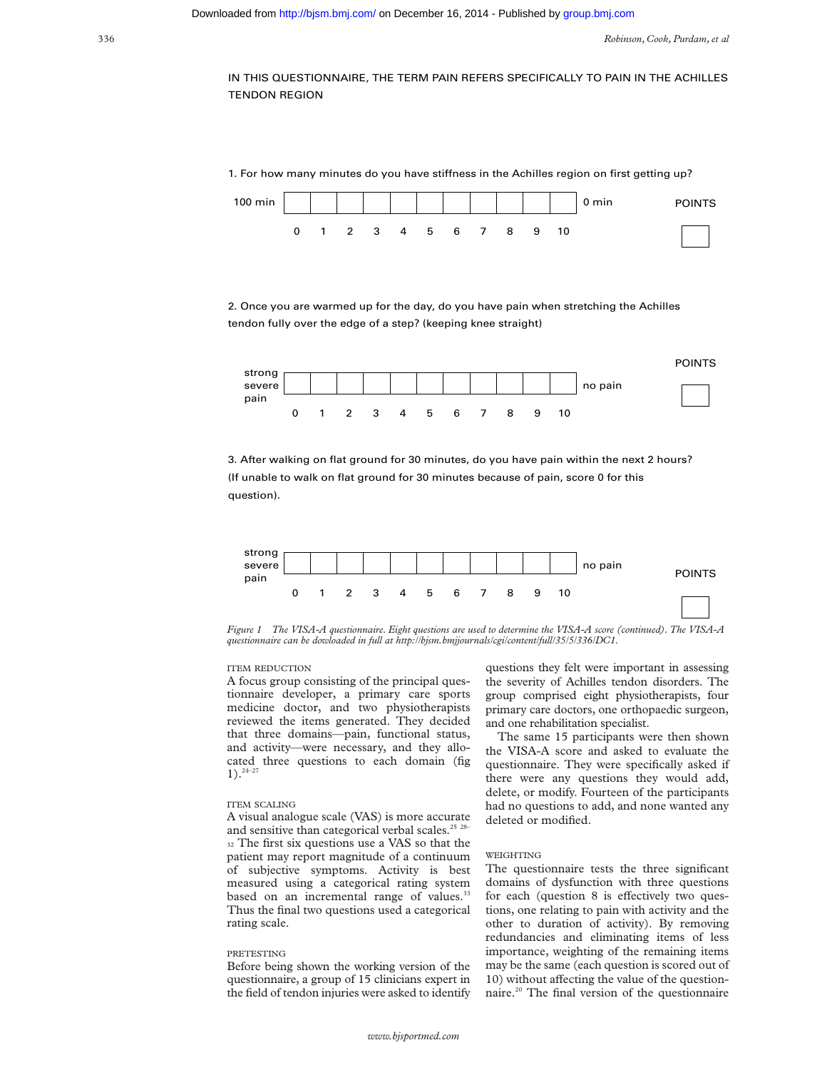IN THIS QUESTIONNAIRE, THE TERM PAIN REFERS SPECIFICALLY TO PAIN IN THE ACHILLES TENDON REGION 1. For how many minutes do you have stiffness in the Achilles region on first getting up? 2. Once you are warmed up for the day, do you have pain when stretching the Achilles tendon fully over the edge of a step? (keeping knee straight) 3. After walking on flat ground for 30 minutes, do you have pain within the next 2 hours? (If unable to walk on flat ground for 30 minutes because of pain, score 0 for this question). strong severe pain 100 min no pain 0 min POINTS POINTS 01234567 9 8 10 01234567 9 8 10



*Figure 1 The VISA-A questionnaire. Eight questions are used to determine the VISA-A score (continued). The VISA-A questionnaire can be dowloaded in full at http://bjsm.bmjjournals/cgi/content/full/35/5/336/DC1.*

# ITEM REDUCTION

A focus group consisting of the principal questionnaire developer, a primary care sports medicine doctor, and two physiotherapists reviewed the items generated. They decided that three domains—pain, functional status, and activity—were necessary, and they allocated three questions to each domain (fig  $1).^{24-27}$ 

### ITEM SCALING

A visual analogue scale (VAS) is more accurate and sensitive than categorical verbal scales.<sup>25 28</sup> 32 The first six questions use a VAS so that the patient may report magnitude of a continuum of subjective symptoms. Activity is best measured using a categorical rating system based on an incremental range of values.<sup>33</sup> Thus the final two questions used a categorical rating scale.

# PRETESTING

Before being shown the working version of the questionnaire, a group of 15 clinicians expert in the field of tendon injuries were asked to identify questions they felt were important in assessing the severity of Achilles tendon disorders. The group comprised eight physiotherapists, four primary care doctors, one orthopaedic surgeon, and one rehabilitation specialist.

The same 15 participants were then shown the VISA-A score and asked to evaluate the questionnaire. They were specifically asked if there were any questions they would add, delete, or modify. Fourteen of the participants had no questions to add, and none wanted any deleted or modified.

#### WEIGHTING

The questionnaire tests the three significant domains of dysfunction with three questions for each (question  $8$  is effectively two questions, one relating to pain with activity and the other to duration of activity). By removing redundancies and eliminating items of less importance, weighting of the remaining items may be the same (each question is scored out of 10) without affecting the value of the questionnaire.<sup>20</sup> The final version of the questionnaire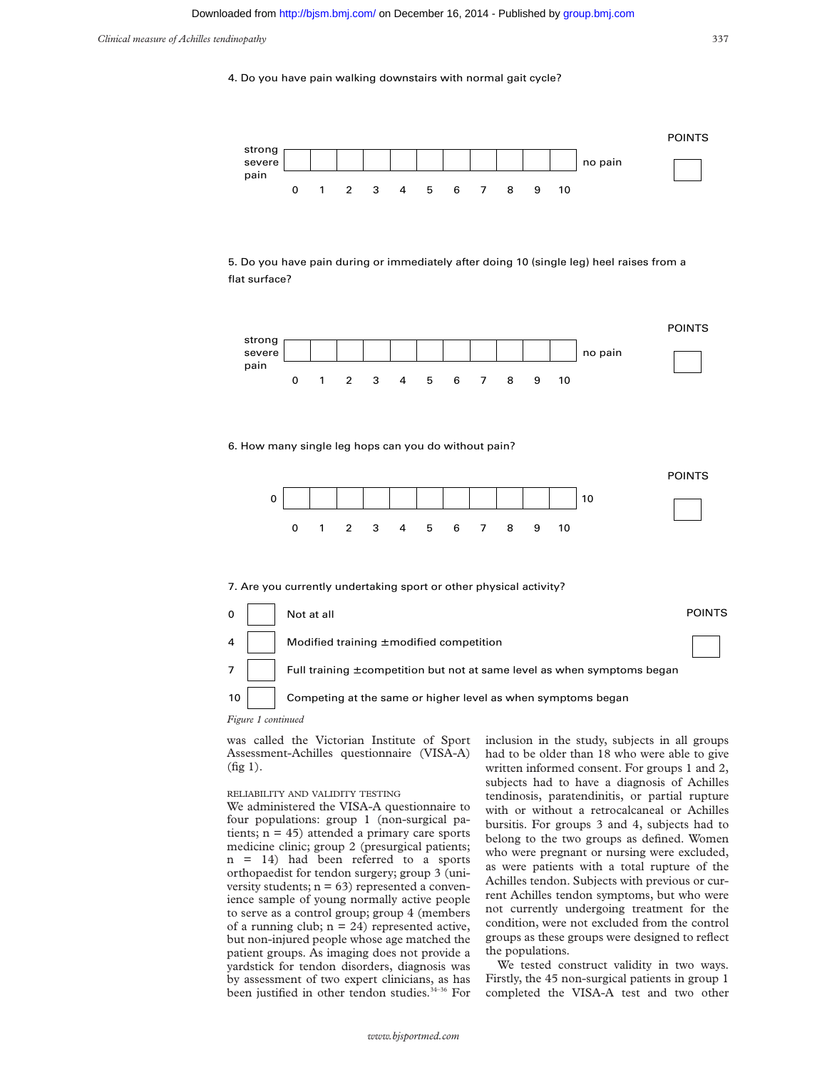

5. Do you have pain during or immediately after doing 10 (single leg) heel raises from a flat surface?



6. How many single leg hops can you do without pain?



7. Are you currently undertaking sport or other physical activity?



was called the Victorian Institute of Sport Assessment-Achilles questionnaire (VISA-A) (fig 1).

#### RELIABILITY AND VALIDITY TESTING

We administered the VISA-A questionnaire to four populations: group 1 (non-surgical patients;  $n = 45$ ) attended a primary care sports medicine clinic; group 2 (presurgical patients;  $n = 14$ ) had been referred to a sports orthopaedist for tendon surgery; group 3 (university students;  $n = 63$ ) represented a convenience sample of young normally active people to serve as a control group; group 4 (members of a running club;  $n = 24$ ) represented active, but non-injured people whose age matched the patient groups. As imaging does not provide a yardstick for tendon disorders, diagnosis was by assessment of two expert clinicians, as has been justified in other tendon studies.<sup>34-36</sup> For

inclusion in the study, subjects in all groups had to be older than 18 who were able to give written informed consent. For groups 1 and 2, subjects had to have a diagnosis of Achilles tendinosis, paratendinitis, or partial rupture with or without a retrocalcaneal or Achilles bursitis. For groups 3 and 4, subjects had to belong to the two groups as defined. Women who were pregnant or nursing were excluded, as were patients with a total rupture of the Achilles tendon. Subjects with previous or current Achilles tendon symptoms, but who were not currently undergoing treatment for the condition, were not excluded from the control groups as these groups were designed to reflect the populations.

We tested construct validity in two ways. Firstly, the 45 non-surgical patients in group 1 completed the VISA-A test and two other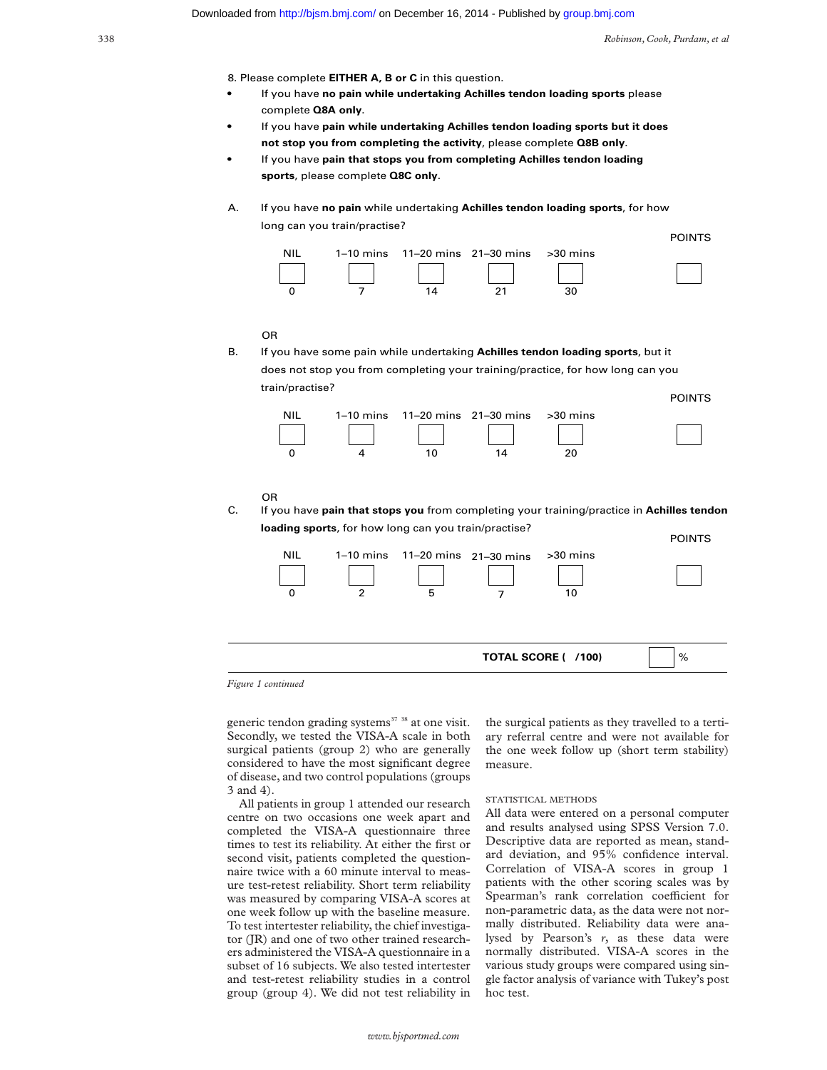- 8. Please complete **EITHER A, B or C** in this question.
- If you have **no pain while undertaking Achilles tendon loading sports** please complete **Q8A only**. •
- If you have **pain while undertaking Achilles tendon loading sports but it does not stop you from completing the activity**, please complete **Q8B only**. •
- If you have **pain that stops you from completing Achilles tendon loading sports**, please complete **Q8C only**. •
- A. If you have **no pain** while undertaking **Achilles tendon loading sports**, for how long can you train/practise?



## OR

B. If you have some pain while undertaking **Achilles tendon loading sports**, but it does not stop you from completing your training/practice, for how long can you train/practise?



# OR

C. If you have **pain that stops you** from completing your training/practice in **Achilles tendon loading sports**, for how long can you train/practise?



*Figure 1 continued*

generic tendon grading systems $37 38$  at one visit. Secondly, we tested the VISA-A scale in both surgical patients (group 2) who are generally considered to have the most significant degree of disease, and two control populations (groups 3 and 4).

All patients in group 1 attended our research centre on two occasions one week apart and completed the VISA-A questionnaire three times to test its reliability. At either the first or second visit, patients completed the questionnaire twice with a 60 minute interval to measure test-retest reliability. Short term reliability was measured by comparing VISA-A scores at one week follow up with the baseline measure. To test intertester reliability, the chief investigator (JR) and one of two other trained researchers administered the VISA-A questionnaire in a subset of 16 subjects. We also tested intertester and test-retest reliability studies in a control group (group 4). We did not test reliability in the surgical patients as they travelled to a tertiary referral centre and were not available for the one week follow up (short term stability) measure.

# STATISTICAL METHODS

All data were entered on a personal computer and results analysed using SPSS Version 7.0. Descriptive data are reported as mean, standard deviation, and 95% confidence interval. Correlation of VISA-A scores in group 1 patients with the other scoring scales was by Spearman's rank correlation coefficient for non-parametric data, as the data were not normally distributed. Reliability data were analysed by Pearson's *r*, as these data were normally distributed. VISA-A scores in the various study groups were compared using single factor analysis of variance with Tukey's post hoc test.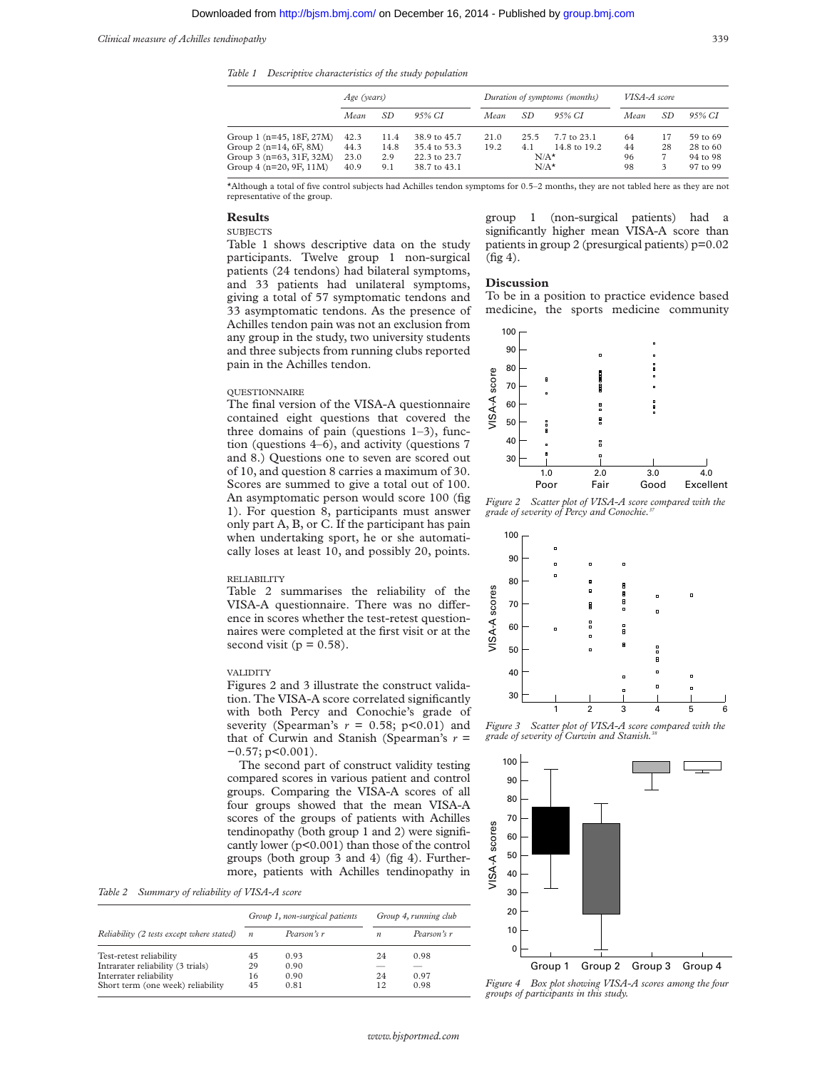|                                                                                                                 | Age (years)                  |                            |                                                              | Duration of symptoms (months) |                                               |                             | VISA-A score         |               |                                              |
|-----------------------------------------------------------------------------------------------------------------|------------------------------|----------------------------|--------------------------------------------------------------|-------------------------------|-----------------------------------------------|-----------------------------|----------------------|---------------|----------------------------------------------|
|                                                                                                                 | Mean                         | SD                         | 95% CI                                                       | Mean                          | SD                                            | 95% CI                      | Mean                 | SD            | 95% CI                                       |
| Group 1 $(n=45, 18F, 27M)$<br>Group 2 $(n=14, 6F, 8M)$<br>Group $3(n=63, 31F, 32M)$<br>Group $4(n=20, 9F, 11M)$ | 42.3<br>44.3<br>23.0<br>40.9 | 11.4<br>14.8<br>2.9<br>9.1 | 38.9 to 45.7<br>35.4 to 53.3<br>22.3 to 23.7<br>38.7 to 43.1 | 21.0<br>19.2                  | 25.5<br>4.1<br>$N/A^{\star}$<br>$N/A^{\star}$ | 7.7 to 23.1<br>14.8 to 19.2 | 64<br>44<br>96<br>98 | 17<br>28<br>3 | 59 to 69<br>28 to 60<br>94 to 98<br>97 to 99 |

\*Although a total of five control subjects had Achilles tendon symptoms for 0.5–2 months, they are not tabled here as they are not representative of the group.

# **Results**

**SUBJECTS** 

Table 1 shows descriptive data on the study participants. Twelve group 1 non-surgical patients (24 tendons) had bilateral symptoms, and 33 patients had unilateral symptoms, giving a total of 57 symptomatic tendons and 33 asymptomatic tendons. As the presence of Achilles tendon pain was not an exclusion from any group in the study, two university students and three subjects from running clubs reported pain in the Achilles tendon.

#### QUESTIONNAIRE

The final version of the VISA-A questionnaire contained eight questions that covered the three domains of pain (questions 1–3), function (questions 4–6), and activity (questions 7 and 8.) Questions one to seven are scored out of 10, and question 8 carries a maximum of 30. Scores are summed to give a total out of 100. An asymptomatic person would score 100 (fig 1). For question 8, participants must answer only part A, B, or C. If the participant has pain when undertaking sport, he or she automatically loses at least 10, and possibly 20, points.

#### RELIABILITY

Table 2 summarises the reliability of the VISA-A questionnaire. There was no difference in scores whether the test-retest questionnaires were completed at the first visit or at the second visit ( $p = 0.58$ ).

#### VALIDITY

Figures 2 and 3 illustrate the construct validation. The VISA-A score correlated significantly with both Percy and Conochie's grade of severity (Spearman's  $r = 0.58$ ; p<0.01) and that of Curwin and Stanish (Spearman's *r* =  $-0.57$ ; p< $0.001$ ).

The second part of construct validity testing compared scores in various patient and control groups. Comparing the VISA-A scores of all four groups showed that the mean VISA-A scores of the groups of patients with Achilles tendinopathy (both group 1 and 2) were significantly lower (p<0.001) than those of the control groups (both group 3 and 4) (fig 4). Furthermore, patients with Achilles tendinopathy in

# *Table 2 Summary of reliability of VISA-A score*

|                                           | Group 1, non-surgical patients |             | Group 4, running club |             |  |
|-------------------------------------------|--------------------------------|-------------|-----------------------|-------------|--|
| Reliability (2 tests except where stated) | $\boldsymbol{n}$               | Pearson's r | $\boldsymbol{n}$      | Pearson's r |  |
| Test-retest reliability                   | 45                             | 0.93        | 24                    | 0.98        |  |
| Intrarater reliability (3 trials)         | 29                             | 0.90        |                       |             |  |
| Interrater reliability                    | 16                             | 0.90        | 24                    | 0.97        |  |
| Short term (one week) reliability         | 45                             | 0.81        | 12                    | 0.98        |  |

group 1 (non-surgical patients) had a significantly higher mean VISA-A score than patients in group 2 (presurgical patients) p=0.02  $(fig 4)$ .

## **Discussion**

To be in a position to practice evidence based medicine, the sports medicine community



*Figure 2 Scatter plot of VISA-A score compared with the* grade of severity of Percy and Conochie.



*Figure 3 Scatter plot of VISA-A score compared with the grade of severity of Curwin and Stanish.38*



*Figure 4 Box plot showing VISA-A scores among the four groups of participants in this study.*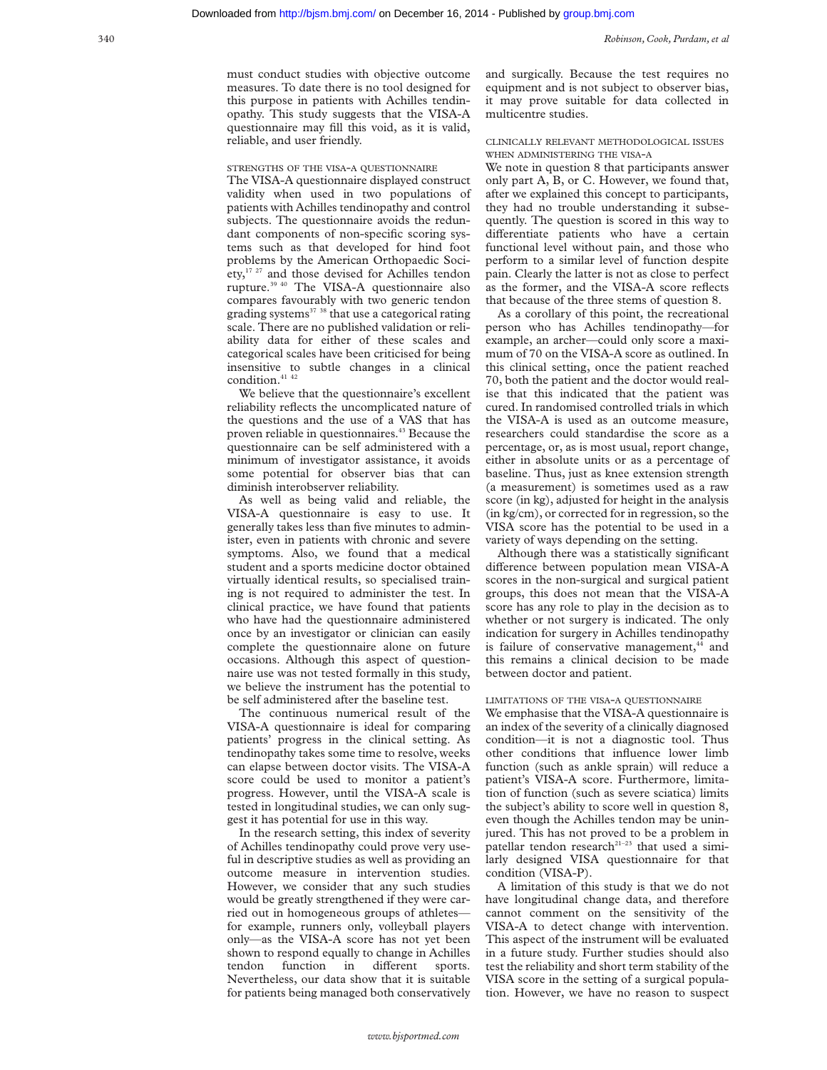must conduct studies with objective outcome measures. To date there is no tool designed for this purpose in patients with Achilles tendinopathy. This study suggests that the VISA-A questionnaire may fill this void, as it is valid, reliable, and user friendly.

#### STRENGTHS OF THE VISA-A QUESTIONNAIRE

The VISA-A questionnaire displayed construct validity when used in two populations of patients with Achilles tendinopathy and control subjects. The questionnaire avoids the redundant components of non-specific scoring systems such as that developed for hind foot problems by the American Orthopaedic Society,<sup>17 27</sup> and those devised for Achilles tendon rupture.39 40 The VISA-A questionnaire also compares favourably with two generic tendon grading systems $3738$  that use a categorical rating scale. There are no published validation or reliability data for either of these scales and categorical scales have been criticised for being insensitive to subtle changes in a clinical condition.<sup>41</sup> <sup>42</sup>

We believe that the questionnaire's excellent reliability reflects the uncomplicated nature of the questions and the use of a VAS that has proven reliable in questionnaires.<sup>43</sup> Because the questionnaire can be self administered with a minimum of investigator assistance, it avoids some potential for observer bias that can diminish interobserver reliability.

As well as being valid and reliable, the VISA-A questionnaire is easy to use. It generally takes less than five minutes to administer, even in patients with chronic and severe symptoms. Also, we found that a medical student and a sports medicine doctor obtained virtually identical results, so specialised training is not required to administer the test. In clinical practice, we have found that patients who have had the questionnaire administered once by an investigator or clinician can easily complete the questionnaire alone on future occasions. Although this aspect of questionnaire use was not tested formally in this study, we believe the instrument has the potential to be self administered after the baseline test.

The continuous numerical result of the VISA-A questionnaire is ideal for comparing patients' progress in the clinical setting. As tendinopathy takes some time to resolve, weeks can elapse between doctor visits. The VISA-A score could be used to monitor a patient's progress. However, until the VISA-A scale is tested in longitudinal studies, we can only suggest it has potential for use in this way.

In the research setting, this index of severity of Achilles tendinopathy could prove very useful in descriptive studies as well as providing an outcome measure in intervention studies. However, we consider that any such studies would be greatly strengthened if they were carried out in homogeneous groups of athletes for example, runners only, volleyball players only—as the VISA-A score has not yet been shown to respond equally to change in Achilles tendon function in different sports. Nevertheless, our data show that it is suitable for patients being managed both conservatively

and surgically. Because the test requires no equipment and is not subject to observer bias, it may prove suitable for data collected in multicentre studies.

CLINICALLY RELEVANT METHODOLOGICAL ISSUES WHEN ADMINISTERING THE VISA-A

We note in question 8 that participants answer only part A, B, or C. However, we found that, after we explained this concept to participants, they had no trouble understanding it subsequently. The question is scored in this way to differentiate patients who have a certain functional level without pain, and those who perform to a similar level of function despite pain. Clearly the latter is not as close to perfect as the former, and the VISA-A score reflects that because of the three stems of question 8.

As a corollary of this point, the recreational person who has Achilles tendinopathy—for example, an archer—could only score a maximum of 70 on the VISA-A score as outlined. In this clinical setting, once the patient reached 70, both the patient and the doctor would realise that this indicated that the patient was cured. In randomised controlled trials in which the VISA-A is used as an outcome measure, researchers could standardise the score as a percentage, or, as is most usual, report change, either in absolute units or as a percentage of baseline. Thus, just as knee extension strength (a measurement) is sometimes used as a raw score (in kg), adjusted for height in the analysis (in kg/cm), or corrected for in regression, so the VISA score has the potential to be used in a variety of ways depending on the setting.

Although there was a statistically significant difference between population mean VISA-A scores in the non-surgical and surgical patient groups, this does not mean that the VISA-A score has any role to play in the decision as to whether or not surgery is indicated. The only indication for surgery in Achilles tendinopathy is failure of conservative management, $4\overline{4}$  and this remains a clinical decision to be made between doctor and patient.

#### LIMITATIONS OF THE VISA-A QUESTIONNAIRE

We emphasise that the VISA-A questionnaire is an index of the severity of a clinically diagnosed condition—it is not a diagnostic tool. Thus other conditions that influence lower limb function (such as ankle sprain) will reduce a patient's VISA-A score. Furthermore, limitation of function (such as severe sciatica) limits the subject's ability to score well in question 8, even though the Achilles tendon may be uninjured. This has not proved to be a problem in patellar tendon research<sup>21-23</sup> that used a similarly designed VISA questionnaire for that condition (VISA-P).

A limitation of this study is that we do not have longitudinal change data, and therefore cannot comment on the sensitivity of the VISA-A to detect change with intervention. This aspect of the instrument will be evaluated in a future study. Further studies should also test the reliability and short term stability of the VISA score in the setting of a surgical population. However, we have no reason to suspect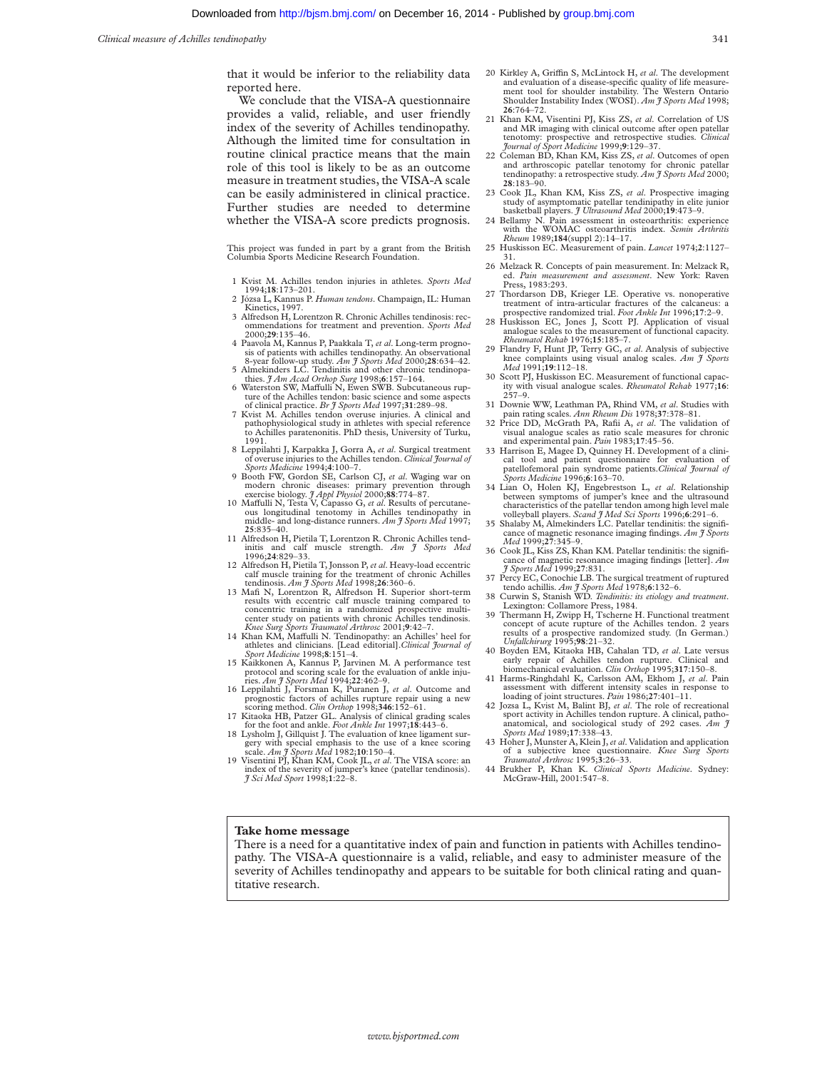that it would be inferior to the reliability data reported here.

We conclude that the VISA-A questionnaire provides a valid, reliable, and user friendly index of the severity of Achilles tendinopathy. Although the limited time for consultation in routine clinical practice means that the main role of this tool is likely to be as an outcome measure in treatment studies, the VISA-A scale can be easily administered in clinical practice. Further studies are needed to determine whether the VISA-A score predicts prognosis.

This project was funded in part by a grant from the British Columbia Sports Medicine Research Foundation.

- 1 Kvist M. Achilles tendon injuries in athletes. *Sports Med*
- 1994;**18**:173–201. 2 Józsa L, Kannus P. *Human tendons*. Champaign, IL: Human Kinetics, 1997.
- 3 Alfredson H, Lorentzon R. Chronic Achilles tendinosis: recommendations for treatment and prevention. *Sports Med* 2000;**29**:135–46.
- 4 Paavola M, Kannus P, Paakkala T, *et al*. Long-term prognosis of patients with achilles tendinopathy. An observational 8-year follow-up study. *Am J Sports Med* 2000;**28**:634–42. 5 Almekinders LC. Tendinitis and other chronic tendinopa-
- 
- thies. *J Am Acad Orthop Surg* 1998;**6**:157–164.<br>6 Waterston SW, Maffulli N, Ewen SWB. Subcutaneous rup-<br>ture of the Achilles tendon: basic science and some aspects of clinical practice. *Br J Sports Med* 1997;**31**:289–98. 7 Kvist M. Achilles tendon overuse injuries. A clinical and
- pathophysiological study in athletes with special reference to Achilles paratenonitis. PhD thesis, University of Turku, 1991.
- 8 Leppilahti J, Karpakka J, Gorra A, *et al*. Surgical treatment of overuse injuries to the Achilles tendon. *Clinical Journal of Sports Medicine* 1994;**4**:100–7.
- 9 Booth FW, Gordon SE, Carlson CJ, *et al*. Waging war on
- modern chronic diseases: primary prevention through<br>exercise biology.  $\tilde{J}Appl Physiol 2000388.774-87.$ <br>10 Maffulli N, Testa V, Capasso G, et al. Results of percutane-<br>ous longitudinal tenotomy in Achilles tendinopathy in middle- and long-distance runners. *Am J Sports Med* 1997;<br>25:835–40
- **<sup>25</sup>**:835–40. 11 Alfredson H, Pietila T, Lorentzon R. Chronic Achilles tendinitis and calf muscle strength. *Am J Sports Med* 1996;**24**:829–33.
- 12 Alfredson H, Pietila T, Jonsson P, *et al*. Heavy-load eccentric calf muscle training for the treatment of chronic Achilles tendinosis. *Am J Sports Med* 1998;**26**:360–6.
- 13 Mafi N, Lorentzon R, Alfredson H. Superior short-term results with eccentric calf muscle training compared to concentric training in a randomized prospective multi-center study on patients with chronic Achilles tendinosis. *Knee Surg Sports Traumatol Arthrosc* 2001;**9**:42–7.
- 14 Khan KM, Maffulli N. Tendinopathy: an Achilles' heel for athletes and clinicians. [Lead editorial].*Clinical Journal of*
- 15 Kaikkonen A, Kannus P, Jarvinen M. A performance test protocol and scoring scale for the evaluation of ankle inju-ries. *Am J Sports Med* 1994;**22**:462–9.
- 16 Leppilahti J, Forsman K, Puranen J, *et al*. Outcome and prognostic factors of achilles rupture repair using a new scoring method. *Clin Orthop* 1998;**346**:152–61.
- 17 Kitaoka HB, Patzer GL. Analysis of clinical grading scales for the foot and ankle. *Foot Ankle Int* 1997;**18**:443–6. 18 Lysholm J, Gillquist J. The evaluation of knee ligament sur-
- 
- gery with special emphasis to the use of a knee scoring<br>scale. Am J Sports Med 1982;10:150-4.<br>19 Visentini PJ, Khan KM, Cook JL, et al. The VISA score: an<br>index of the severity of jumper's knee (patellar tendinosis).<br>J Sc
- 20 Kirkley A, Griffin S, McLintock H, et al. The development and evaluation of a disease-specific quality of life measure-ment tool for shoulder instability. The Western Ontario Shoulder Instability Index (WOSI). *Am J Sports Med* 1998; **26**:764–72.
- 21 Khan KM, Visentini PJ, Kiss ZS, *et al*. Correlation of US and MR imaging with clinical outcome after open patellar tenotomy: prospective and retrospective studies. *Clinical Journal of Sport Medicine* 1999;**9**:129–37.
- 22 Coleman BD, Khan KM, Kiss ZS, *et al*. Outcomes of open and arthroscopic patellar tenotomy for chronic patellar tendinopathy: a retrospective study. *Am J Sports Med* 2000; **28**:183–90.
- 23 Cook JL, Khan KM, Kiss ZS, *et al*. Prospective imaging study of asymptomatic patellar tendinipathy in elite junior basketball players. *J Ultrasound Med* 2000;**19**:473–9.
- 24 Bellamy N. Pain assessment in osteoarthritis: experience with the WOMAC osteoarthritis index. *Semin Arthritis Rheum* 1989;**184**(suppl 2):14–17.
- 25 Huskisson EC. Measurement of pain. *Lancet* 1974;**2**:1127– 31.
- 26 Melzack R. Concepts of pain measurement. In: Melzack R, ed. *Pain measurement and assessment*. New York: Raven Press, 1983:293.
- 27 Thordarson DB, Krieger LE. Operative vs. nonoperative treatment of intra-articular fractures of the calcaneus: a prospective randomized trial. *Foot Ankle Int* 1996;**17**:2–9.
- 28 Huskisson EC, Jones J, Scott PJ. Application of visual analogue scales to the measurement of functional capacity. *Rheumatol Rehab* 1976;**15**:185–7.
- 29 Flandry F, Hunt JP, Terry GC, *et al*. Analysis of subjective knee complaints using visual analog scales. *Am J Sports Med* 1991;**19**:112–18.
- Scott PJ, Huskisson EC. Measurement of functional capacity ity with visual analogue scales. *Rheumatol Rehab* 1977;**16**: 257–9.
- 31 Downie WW, Leathman PA, Rhind VM, *et al*. Studies with pain rating scales. *Ann Rheum Dis* 1978;**37**:378–81.
- 32 Price DD, McGrath PA, Rafii A, *et al*. The validation of visual analogue scales as ratio scale measures for chronic and experimental pain. *Pain* 1983;**17**:45–56.
- 33 Harrison E, Magee D, Quinney H. Development of a clini-cal tool and patient questionnaire for evaluation of patellofemoral pain syndrome patients.*Clinical Journal of Sports Medicine* 1996;**6**:163–70.
- 34 Lian O, Holen KJ, Engebrestson L, *et al*. Relationship between symptoms of jumper's knee and the ultrasound characteristics of the patellar tendon among high level male
- volleyball players. *Scand J Med Sci Sports* 1996;6:291-6.<br>35 Shalaby M, Almekinders LC. Patellar tendinitis: the significance of magnetic resonance imaging findings. *Am J Sports Med* 1999;**27**:345–9.
- 36 Cook JL, Kiss ZS, Khan KM. Patellar tendinitis: the signifi-cance of magnetic resonance imaging findings [letter]. *Am J Sports Med* 1999;**27**:831.
- 37 Percy EC, Conochie LB. The surgical treatment of ruptured tendo achillis. *Am J Sports Med* 1978;**6**:132–6. 38 Curwin S, Stanish WD. *Tendinitis: its etiology and treatment*.
- Lexington: Collamore Press, 1984.
- 39 Thermann H, Zwipp H, Tscherne H. Functional treatment concept of acute rupture of the Achilles tendon. 2 years results of a prospective randomized study. (In German.) *Unfallchirurg* 1995;**98**:21–32.
- 40 Boyden EM, Kitaoka HB, Cahalan TD, *et al*. Late versus early repair of Achilles tendon rupture. Clinical and biomechanical evaluation. *Clin Orthop* 1995;**317**:150–8.
- 41 Harms-Ringhdahl K, Carlsson AM, Ekhom J, *et al*. Pain assessment with different intensity scales in response to loading of joint structures. *Pain* 1986;27:401-11.
- 42 Jozsa L, Kvist M, Balint BJ, *et al*. The role of recreational sport activity in Achilles tendon rupture. A clinical, patho-anatomical, and sociological study of 292 cases. *Am J Sports Med* 1989;**17**:338–43.
- 43 Hoher J, Munster A, Klein J,*et al*. Validation and application of a subjective knee questionnaire. *Knee Surg Sports Traumatol Arthrosc* 1995;**3**:26–33.
- 44 Brukher P, Khan K. *Clinical Sports Medicine.* Sydney: McGraw-Hill, 2001:547–8.

# **Take home message**

There is a need for a quantitative index of pain and function in patients with Achilles tendinopathy. The VISA-A questionnaire is a valid, reliable, and easy to administer measure of the severity of Achilles tendinopathy and appears to be suitable for both clinical rating and quantitative research.